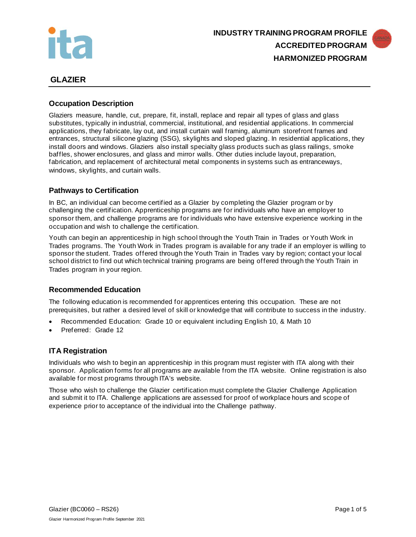



# **GLAZIER**

## **Occupation Description**

Glaziers measure, handle, cut, prepare, fit, install, replace and repair all types of glass and glass substitutes, typically in industrial, commercial, institutional, and residential applications. In commercial applications, they fabricate, lay out, and install curtain wall framing, aluminum storefront frames and entrances, structural silicone glazing (SSG), skylights and sloped glazing. In residential applications, they install doors and windows. Glaziers also install specialty glass products such as glass railings, smoke baffles, shower enclosures, and glass and mirror walls. Other duties include layout, preparation, fabrication, and replacement of architectural metal components in systems such as entranceways, windows, skylights, and curtain walls.

## **Pathways to Certification**

In BC, an individual can become certified as a Glazier by completing the Glazier program or by challenging the certification. Apprenticeship programs are for individuals who have an employer to sponsor them, and challenge programs are for individuals who have extensive experience working in the occupation and wish to challenge the certification.

Youth can begin an apprenticeship in high school through the Youth Train in Trades or Youth Work in Trades programs. The Youth Work in Trades program is available for any trade if an employer is willing to sponsor the student. Trades offered through the Youth Train in Trades vary by region; contact your local school district to find out which technical training programs are being offered through the Youth Train in Trades program in your region.

## **Recommended Education**

The following education is recommended for apprentices entering this occupation. These are not prerequisites, but rather a desired level of skill or knowledge that will contribute to success in the industry.

- Recommended Education: Grade 10 or equivalent including English 10, & Math 10
- Preferred: Grade 12

## **ITA Registration**

Individuals who wish to begin an apprenticeship in this program must register with ITA along with their sponsor. Application forms for all programs are available from the ITA website. Online registration is also available for most programs through ITA's website.

Those who wish to challenge the Glazier certification must complete the Glazier Challenge Application and submit it to ITA. Challenge applications are assessed for proof of workplace hours and scope of experience prior to acceptance of the individual into the Challenge pathway.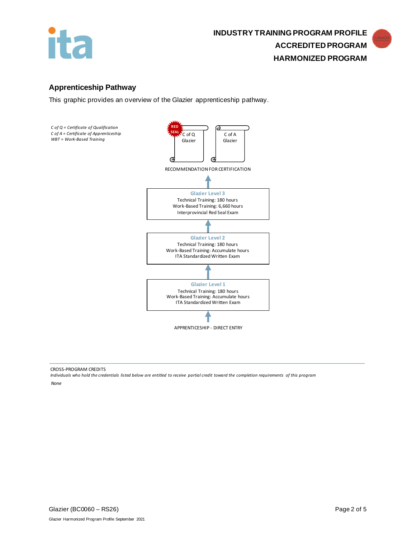

# **Apprenticeship Pathway**

This graphic provides an overview of the Glazier apprenticeship pathway.



CROSS-PROGRAM CREDITS

*Individuals who hold the credentials listed below are entitled to receive partial credit toward the completion requirements of this program*

*None*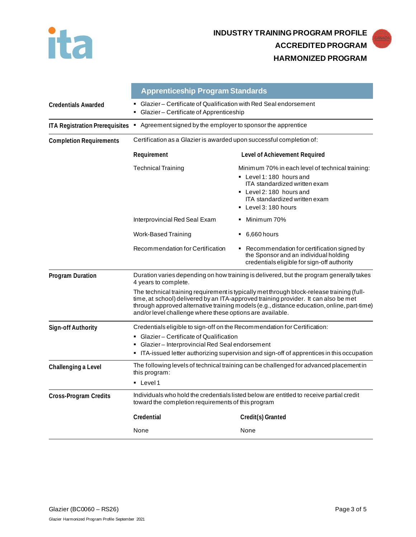



|                                | <b>Apprenticeship Program Standards</b>                                                                                                                                                |                                                                                                                                                                                                                                                                                |  |
|--------------------------------|----------------------------------------------------------------------------------------------------------------------------------------------------------------------------------------|--------------------------------------------------------------------------------------------------------------------------------------------------------------------------------------------------------------------------------------------------------------------------------|--|
| <b>Credentials Awarded</b>     | Glazier – Certificate of Qualification with Red Seal endorsement<br>Glazier-Certificate of Apprenticeship                                                                              |                                                                                                                                                                                                                                                                                |  |
| ITA Registration Prerequisites | • Agreement signed by the employer to sponsor the apprentice                                                                                                                           |                                                                                                                                                                                                                                                                                |  |
| <b>Completion Requirements</b> | Certification as a Glazier is awarded upon successful completion of:                                                                                                                   |                                                                                                                                                                                                                                                                                |  |
|                                | Requirement                                                                                                                                                                            | Level of Achievement Required                                                                                                                                                                                                                                                  |  |
|                                | <b>Technical Training</b>                                                                                                                                                              | Minimum 70% in each level of technical training:<br>• Level 1:180 hours and<br>ITA standardized written exam<br>• Level 2:180 hours and<br>ITA standardized written exam<br>Level 3: 180 hours                                                                                 |  |
|                                | Interprovincial Red Seal Exam                                                                                                                                                          | Minimum 70%                                                                                                                                                                                                                                                                    |  |
|                                | Work-Based Training                                                                                                                                                                    | 6,660 hours<br>٠                                                                                                                                                                                                                                                               |  |
|                                | Recommendation for Certification                                                                                                                                                       | • Recommendation for certification signed by<br>the Sponsor and an individual holding<br>credentials eligible for sign-off authority                                                                                                                                           |  |
| <b>Program Duration</b>        | Duration varies depending on how training is delivered, but the program generally takes<br>4 years to complete.                                                                        |                                                                                                                                                                                                                                                                                |  |
|                                | and/or level challenge where these options are available.                                                                                                                              | The technical training requirement is typically met through block-release training (full-<br>time, at school) delivered by an ITA-approved training provider. It can also be met<br>through approved alternative training models (e.g., distance education, online, part-time) |  |
| Sign-off Authority             | Credentials eligible to sign-off on the Recommendation for Certification:<br>$\;\blacksquare\;$ Glazier – Certificate of Qualification<br>Glazier-Interprovincial Red Seal endorsement |                                                                                                                                                                                                                                                                                |  |
|                                |                                                                                                                                                                                        |                                                                                                                                                                                                                                                                                |  |
|                                | • ITA-issued letter authorizing supervision and sign-off of apprentices in this occupation                                                                                             |                                                                                                                                                                                                                                                                                |  |
| Challenging a Level            | The following levels of technical training can be challenged for advanced placement in<br>this program:                                                                                |                                                                                                                                                                                                                                                                                |  |
|                                | $\blacksquare$ Level 1                                                                                                                                                                 |                                                                                                                                                                                                                                                                                |  |
| <b>Cross-Program Credits</b>   | Individuals who hold the credentials listed below are entitled to receive partial credit<br>toward the completion requirements of this program                                         |                                                                                                                                                                                                                                                                                |  |
|                                | Credential                                                                                                                                                                             | Credit(s) Granted                                                                                                                                                                                                                                                              |  |
|                                | None                                                                                                                                                                                   | None                                                                                                                                                                                                                                                                           |  |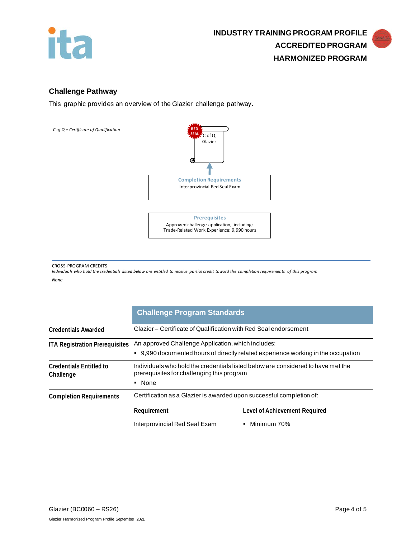

## **Challenge Pathway**

This graphic provides an overview of the Glazier challenge pathway.



#### CROSS-PROGRAM CREDITS

*Individuals who hold the credentials listed below are entitled to receive partial credit toward the completion requirements of this program None*

|                                             | <b>Challenge Program Standards</b>                                                                                                       |                                                    |
|---------------------------------------------|------------------------------------------------------------------------------------------------------------------------------------------|----------------------------------------------------|
| <b>Credentials Awarded</b>                  | Glazier – Certificate of Qualification with Red Seal endorsement                                                                         |                                                    |
| <b>ITA Registration Prerequisites</b>       | An approved Challenge Application, which includes:<br>• 9,990 documented hours of directly related experience working in the occupation  |                                                    |
| <b>Credentials Entitled to</b><br>Challenge | Individuals who hold the credentials listed below are considered to have met the<br>prerequisites for challenging this program<br>• None |                                                    |
| <b>Completion Requirements</b>              | Certification as a Glazier is awarded upon successful completion of:<br>Requirement<br>Interprovincial Red Seal Exam                     | Level of Achievement Required<br>Minimum 70%<br>۰. |